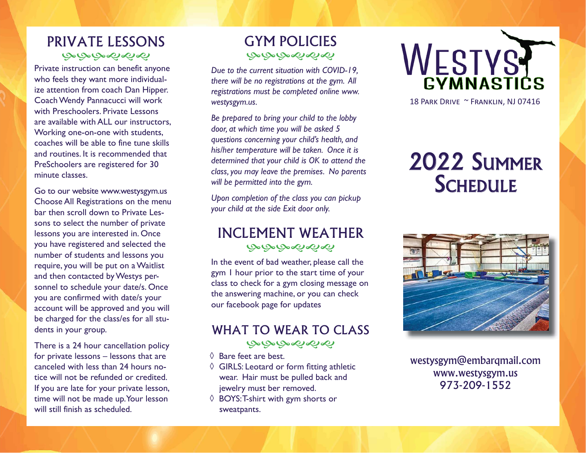# PRIVATE LESSONSಅಅಅಳಿಸಳ

Private instruction can benefit anyone who feels they want more individualize attention from coach Dan Hipper. Coach Wendy Pannacucci will work with Preschoolers. Private Lessons are available with ALL our instructors, Working one-on-one with students, coaches will be able to fine tune skills and routines. It is recommended that PreSchoolers are registered for 30 minute classes.

Go to our website www.westysgym.us Choose All Registrations on the menu bar then scroll down to Private Lessons to select the number of private lessons you are interested in. Once you have registered and selected the number of students and lessons you require, you will be put on a Waitlist and then contacted by Westys personnel to schedule your date/s. Once you are confirmed with date/s your account will be approved and you will be charged for the class/es for all students in your group.

There is a 24 hour cancellation policy for private lessons – lessons that are canceled with less than 24 hours notice will not be refunded or credited. If you are late for your private lesson, time will not be made up. Your lesson will still finish as scheduled.

# GYM POLICIESبهبهبهمها

*Due to the current situation with COVID-19, there will be no registrations at the gym. All registrations must be completed online www. westysgym.us.* 

*Be prepared to bring your child to the lobby door, at which time you will be asked 5 questions concerning your child's health, and his/her temperature will be taken. Once it is determined that your child is OK to attend the class, you may leave the premises. No parents will be permitted into the gym.*

*Upon completion of the class you can pickup your child at the side Exit door only.*

# INCLEMENT WEATHERبصبصبصحاحها

In the event of bad weather, please call the gym 1 hour prior to the start time of your class to check for a gym closing message on the answering machine, or you can check our facebook page for updates

# WHAT TO WEAR TO CLASSبهبهبهمها

- ◊ Bare feet are best.
- $\Diamond$  GIRLS: Leotard or form fitting athletic wear. Hair must be pulled back and jewelry must ber removed.
- ◊ BOYS: T-shirt with gym shorts or sweatpants.



18 PARK DRIVE ~ FRANKLIN, NJ 07416

# 2022 SUMMERSCHEDULE



westysgym@embarqmail.com www.westysgym.us 973-209-1552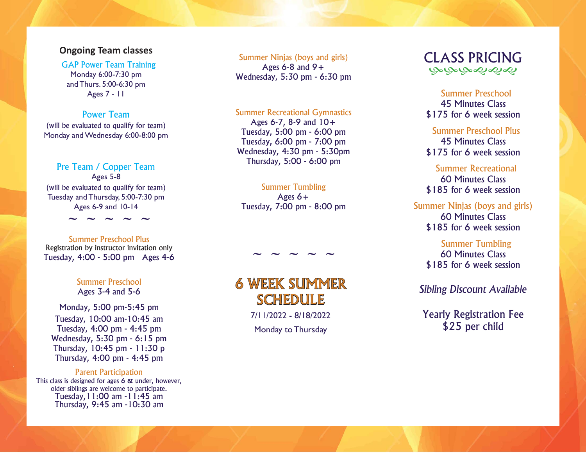#### **Ongoing Team classes**

GAP Power Team Training Monday 6:00-7:30 pm and Thurs. 5:00-6:30 pm Ages 7 - 11

#### Power Team

(will be evaluated to qualify for team) Monday and Wednesday 6:00-8:00 pm

#### Pre Team / Copper Team

Ages 5-8 (will be evaluated to qualify for team) Tuesday and Thursday, 5:00-7:30 pm Ages 6-9 and 10-14

**~ ~ ~ ~ ~**

#### Summer Preschool PlusRegistration by instructor invitation only Tuesday, 4:00 - 5:00 pm Ages 4-6

#### Summer PreschoolAges 3-4 and 5-6

Monday, 5:00 pm-5:45 pm Tuesday, 10:00 am-10:45 am Tuesday, 4:00 pm - 4:45 pm Wednesday, 5:30 pm - 6:15 pm Thursday, 10:45 pm - 11:30 p Thursday, 4:00 pm - 4:45 pm

# Parent Participation

This class is designed for ages 6 & under, however, older siblings are welcome to participate. Tuesday,11:00 am -11:45 am Thursday, 9:45 am -10:30 am

#### Summer Ninjas (boys and girls) Ages  $6-8$  and  $9+$ Wednesday, 5:30 pm - 6:30 pm

#### Summer Recreational Gymnastics

Ages 6-7, 8-9 and 10+ Tuesday, 5:00 pm - 6:00 pm Tuesday, 6:00 pm - 7:00 pm Wednesday, 4:30 pm - 5:30pm Thursday, 5:00 - 6:00 pm

# Summer Tumbling

Ages  $6+$ Tuesday, 7:00 pm - 8:00 pm

# 6 WEEK SUMMER SCHEDULE

**~ ~ ~ ~ ~**

7/11/2022 - 8/18/2022

Monday to Thursday



# Summer Preschool45 Minutes Class\$175 for 6 week session

# Summer Preschool Plus45 Minutes Class\$175 for 6 week session

# Summer Recreational60 Minutes Class\$185 for 6 week session

# Summer Ninjas (boys and girls) 60 Minutes Class\$185 for 6 week session

# Summer Tumbling

#### 60 Minutes Class\$185 for 6 week session

# *Sibling Discount Available*

# Yearly Registration Fee \$25 per child